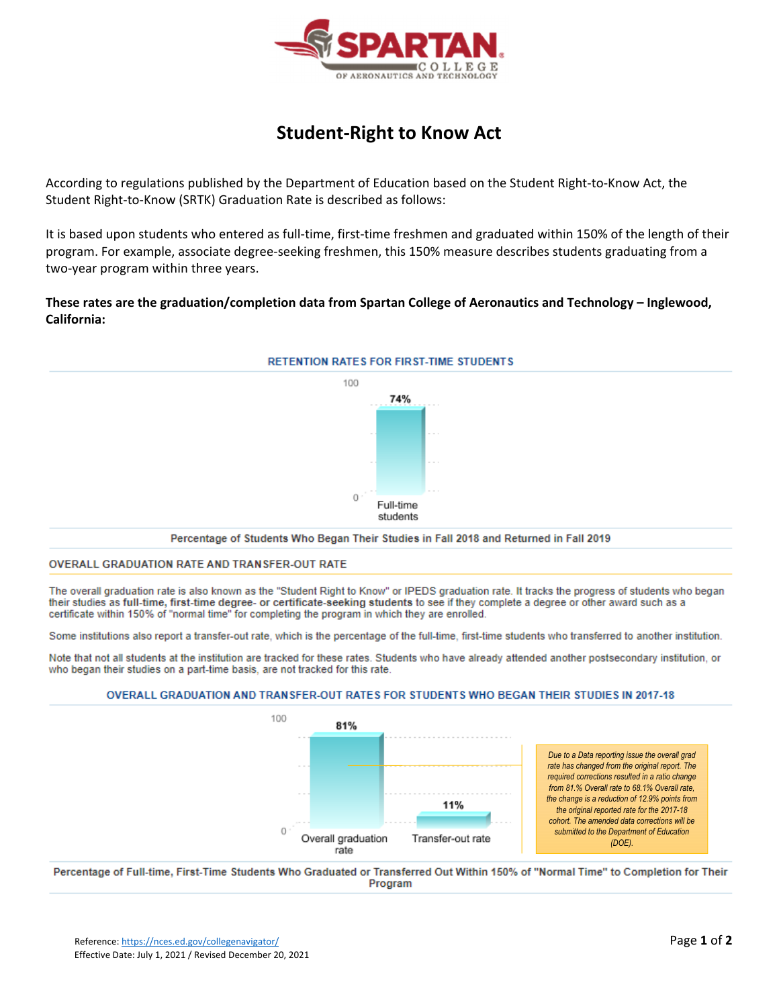

# **Student‐Right to Know Act**

According to regulations published by the Department of Education based on the Student Right‐to‐Know Act, the Student Right‐to‐Know (SRTK) Graduation Rate is described as follows:

It is based upon students who entered as full-time, first-time freshmen and graduated within 150% of the length of their program. For example, associate degree‐seeking freshmen, this 150% measure describes students graduating from a two‐year program within three years.

**These rates are the graduation/completion data from Spartan College of Aeronautics and Technology – Inglewood, California:**



#### OVERALL GRADUATION RATE AND TRANSFER-OUT RATE

The overall graduation rate is also known as the "Student Right to Know" or IPEDS graduation rate. It tracks the progress of students who began their studies as full-time, first-time degree- or certificate-seeking students to see if they complete a degree or other award such as a certificate within 150% of "normal time" for completing the program in which they are enrolled.

Some institutions also report a transfer-out rate, which is the percentage of the full-time, first-time students who transferred to another institution.

Note that not all students at the institution are tracked for these rates. Students who have already attended another postsecondary institution, or who began their studies on a part-time basis, are not tracked for this rate.





*Due to a Data reporting issue the overall grad rate has changed from the original report. The required corrections resulted in a ratio change from 81.% Overall rate to 68.1% Overall rate, the change is a reduction of 12.9% points from the original reported rate for the 2017-18 cohort. The amended data corrections will be submitted to the Department of Education (DOE).* 

Percentage of Full-time, First-Time Students Who Graduated or Transferred Out Within 150% of "Normal Time" to Completion for Their Program